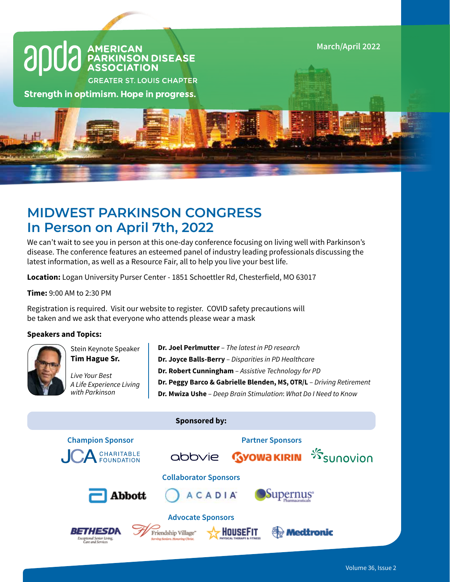

# **MIDWEST PARKINSON CONGRESS In Person on April 7th, 2022**

We can't wait to see you in person at this one-day conference focusing on living well with Parkinson's disease. The conference features an esteemed panel of industry leading professionals discussing the latest information, as well as a Resource Fair, all to help you live your best life.

**Location:** Logan University Purser Center - 1851 Schoettler Rd, Chesterfield, MO 63017

**Time:** 9:00 AM to 2:30 PM

Registration is required. Visit our website to register. COVID safety precautions will be taken and we ask that everyone who attends please wear a mask

# **Speakers and Topics:**



Stein Keynote Speaker **Tim Hague Sr.** 

*Live Your Best A Life Experience Living with Parkinson*

**Dr. Joel Perlmutter** – *The latest in PD research* **Dr. Joyce Balls-Berry** – *Disparities in PD Healthcare* **Dr. Robert Cunningham** – *Assistive Technology for PD* **Dr. Peggy Barco & Gabrielle Blenden, MS, OTR/L** – *Driving Retirement* **Dr. Mwiza Ushe** – *Deep Brain Stimulation*: *What Do I Need to Know*

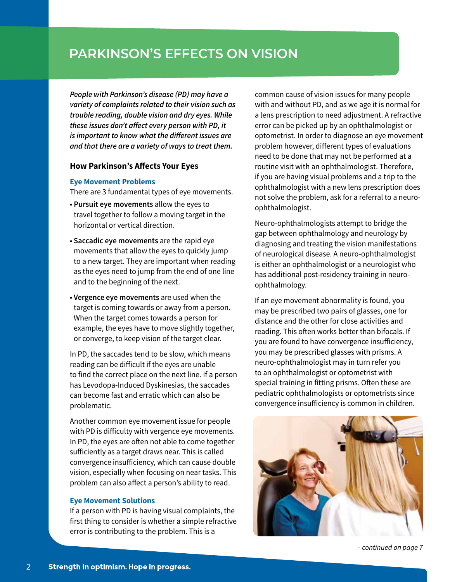**PARKINSON'S EFFECTS ON VISION**

*People with Parkinson's disease (PD) may have a variety of complaints related to their vision such as trouble reading, double vision and dry eyes. While these issues don't affect every person with PD, it is important to know what the different issues are and that there are a variety of ways to treat them.*

# **How Parkinson's Affects Your Eyes**

### **Eye Movement Problems**

There are 3 fundamental types of eye movements.

- **Pursuit eye movements** allow the eyes to travel together to follow a moving target in the horizontal or vertical direction.
- **Saccadic eye movements** are the rapid eye movements that allow the eyes to quickly jump to a new target. They are important when reading as the eyes need to jump from the end of one line and to the beginning of the next.
- **Vergence eye movements** are used when the target is coming towards or away from a person. When the target comes towards a person for example, the eyes have to move slightly together, or converge, to keep vision of the target clear.

In PD, the saccades tend to be slow, which means reading can be difficult if the eyes are unable to find the correct place on the next line. If a person has Levodopa-Induced Dyskinesias, the saccades can become fast and erratic which can also be problematic.

Another common eye movement issue for people with PD is difficulty with vergence eye movements. In PD, the eyes are often not able to come together sufficiently as a target draws near. This is called convergence insufficiency, which can cause double vision, especially when focusing on near tasks. This problem can also affect a person's ability to read.

# **Eye Movement Solutions**

If a person with PD is having visual complaints, the first thing to consider is whether a simple refractive error is contributing to the problem. This is a

common cause of vision issues for many people with and without PD, and as we age it is normal for a lens prescription to need adjustment. A refractive error can be picked up by an ophthalmologist or optometrist. In order to diagnose an eye movement problem however, different types of evaluations need to be done that may not be performed at a routine visit with an ophthalmologist. Therefore, if you are having visual problems and a trip to the ophthalmologist with a new lens prescription does not solve the problem, ask for a referral to a neuroophthalmologist.

Neuro-ophthalmologists attempt to bridge the gap between ophthalmology and neurology by diagnosing and treating the vision manifestations of neurological disease. A neuro-ophthalmologist is either an ophthalmologist or a neurologist who has additional post-residency training in neuroophthalmology.

If an eye movement abnormality is found, you may be prescribed two pairs of glasses, one for distance and the other for close activities and reading. This often works better than bifocals. If you are found to have convergence insufficiency, you may be prescribed glasses with prisms. A neuro-ophthalmologist may in turn refer you to an ophthalmologist or optometrist with special training in fitting prisms. Often these are pediatric ophthalmologists or optometrists since convergence insufficiency is common in children.



*– continued on page 7*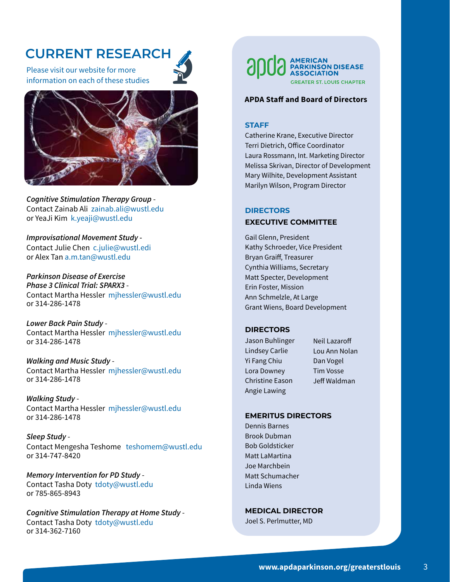# **CURRENT RESEARCH**

Please visit our website for more information on each of these studies



*Cognitive Stimulation Therapy Group* - Contact Zainab Ali zainab.ali@wustl.edu or YeaJi Kim k.yeaji@wustl.edu

*Improvisational Movement Study -* Contact Julie Chen c.julie@wustl.edi or Alex Tan a.m.tan@wustl.edu

*Parkinson Disease of Exercise Phase 3 Clinical Trial: SPARX3* - Contact Martha Hessler mjhessler@wustl.edu or 314-286-1478

*Lower Back Pain Study* - Contact Martha Hessler mjhessler@wustl.edu or 314-286-1478

*Walking and Music Study* - Contact Martha Hessler mjhessler@wustl.edu or 314-286-1478

*Walking Study* - Contact Martha Hessler mjhessler@wustl.edu or 314-286-1478

*Sleep Study* - Contact Mengesha Teshome teshomem@wustl.edu or 314-747-8420

*Memory Intervention for PD Study* - Contact Tasha Doty tdoty@wustl.edu or 785-865-8943

*Cognitive Stimulation Therapy at Home Study* - Contact Tasha Doty tdoty@wustl.edu or 314-362-7160

**GREATER ST. LOUIS CHAPTER** 

### **APDA Staff and Board of Directors**

# **STAFF**

Catherine Krane, Executive Director Terri Dietrich, Office Coordinator Laura Rossmann, Int. Marketing Director Melissa Skrivan, Director of Development Mary Wilhite, Development Assistant Marilyn Wilson, Program Director

# **DIRECTORS EXECUTIVE COMMITTEE**

Gail Glenn, President Kathy Schroeder, Vice President Bryan Graiff, Treasurer Cynthia Williams, Secretary Matt Specter, Development Erin Foster, Mission Ann Schmelzle, At Large Grant Wiens, Board Development

#### **DIRECTORS**

- Jason Buhlinger Lindsey Carlie Yi Fang Chiu Lora Downey Christine Eason Angie Lawing
- Neil Lazaroff Lou Ann Nolan Dan Vogel Tim Vosse Jeff Waldman

#### **EMERITUS DIRECTORS**

Dennis Barnes Brook Dubman Bob Goldsticker Matt LaMartina Joe Marchbein Matt Schumacher Linda Wiens

**MEDICAL DIRECTOR** Joel S. Perlmutter, MD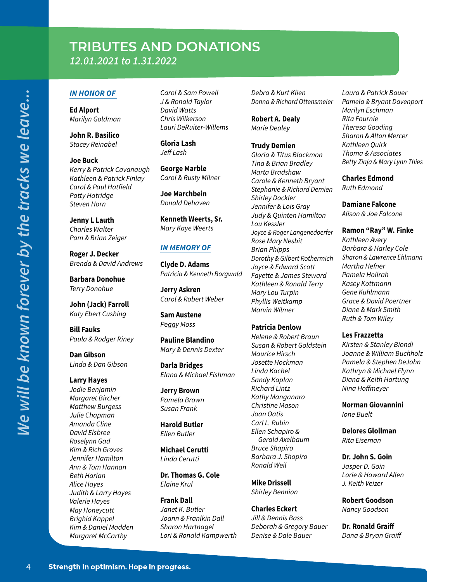# **TRIBUTES AND DONATIONS** *12.01.2021 to 1.31.2022*

# *IN HONOR OF*

**Ed Alport** *Marilyn Goldman*

**John R. Basilico** *Stacey Reinabel*

**Joe Buck** *Kerry & Patrick Cavanaugh Kathleen & Patrick Finlay Carol & Paul Hatfield Patty Hatridge Steven Horn*

**Jenny L Lauth** *Charles Walter Pam & Brian Zeiger*

**Roger J. Decker** *Brenda & David Andrews*

**Barbara Donohue** *Terry Donohue*

*We will be known forever by the tracks we leave...*

Ne will be known forever by the tracks we leave...

**John (Jack) Farroll**  *Katy Ebert Cushing*

**Bill Fauks** *Paula & Rodger Riney*

**Dan Gibson** *Linda & Dan Gibson*

#### **Larry Hayes**

*Jodie Benjamin Margaret Bircher Matthew Burgess Julie Chapman Amanda Cline David Elsbree Roselynn Gad Kim & Rich Groves Jennifer Hamilton Ann & Tom Hannan Beth Harlan Alice Hayes Judith & Larry Hayes Valerie Hayes May Honeycutt Brighid Kappel Kim & Daniel Madden Margaret McCarthy*

*Carol & Sam Powell J & Ronald Taylor David Watts Chris Wilkerson Lauri DeRuiter-Willems*

**Gloria Lash** *Jeff Lash*

**George Marble** *Carol & Rusty Milner*

**Joe Marchbein** *Donald Dehaven*

**Kenneth Weerts, Sr.** *Mary Kaye Weerts*

## *IN MEMORY OF*

**Clyde D. Adams** *Patricia & Kenneth Borgwald*

**Jerry Askren** *Carol & Robert Weber*

**Sam Austene** *Peggy Moss*

**Pauline Blandino** *Mary & Dennis Dexter*

**Darla Bridges** *Elana & Michael Fishman*

**Jerry Brown** *Pamela Brown Susan Frank*

**Harold Butler** *Ellen Butler*

**Michael Cerutti** *Linda Cerutti*

**Dr. Thomas G. Cole** *Elaine Krul*

**Frank Dall** *Janet K. Butler Joann & Franlkin Dall Sharon Hartnagel Lori & Ronald Kampwerth* *Debra & Kurt Klien Donna & Richard Ottensmeier*

**Robert A. Dealy** *Marie Dealey*

**Trudy Demien** *Gloria & Titus Blackmon Tina & Brian Bradley Marta Bradshaw Carole & Kenneth Bryant Stephanie & Richard Demien Shirley Dockler Jennifer & Lois Gray Judy & Quinten Hamilton Lou Kessler Joyce & Roger Langenedoerfer Rose Mary Nesbit Brian Phipps Dorothy & Gilbert Rothermich Joyce & Edward Scott Fayette & James Steward Kathleen & Ronald Terry Mary Lou Turpin Phyllis Weitkamp Marvin Wilmer*

## **Patricia Denlow**

*Helene & Robert Braun Susan & Robert Goldstein Maurice Hirsch Josette Hockman Linda Kachel Sandy Kaplan Richard Lintz Kathy Manganaro Christine Mason Joan Oatis Carl L. Rubin Ellen Schapiro & Gerald Axelbaum Bruce Shapiro Barbara J. Shapiro Ronald Weil*

**Mike Drissell** *Shirley Bennion*

# **Charles Eckert**

*Jill & Dennis Bass Deborah & Gregory Bauer Denise & Dale Bauer*

*Laura & Patrick Bauer Pamela & Bryant Davenport Marilyn Eschman Rita Fournie Theresa Gooding Sharon & Alton Mercer Kathleen Quirk Thoma & Associates Betty Ziaja & Mary Lynn Thies*

#### **Charles Edmond** *Ruth Edmond*

**Damiane Falcone**

*Alison & Joe Falcone*

## **Ramon "Ray" W. Finke**

*Kathleen Avery Barbara & Harley Cole Sharon & Lawrence Ehlmann Martha Hefner Pamela Hollrah Kasey Kottmann Gene Kuhlmann Grace & David Poertner Diane & Mark Smith Ruth & Tom Wiley*

#### **Les Frazzetta**

*Kirsten & Stanley Biondi Joanne & William Buchholz Pamela & Stephen DeJohn Kathryn & Michael Flynn Diana & Keith Hartung Nina Hoffmeyer*

**Norman Giovannini** *Ione Buelt*

**Delores Glollman** *Rita Eiseman*

#### **Dr. John S. Goin**

*Jasper D. Goin Lorie & Howard Allen J. Keith Veizer*

**Robert Goodson** *Nancy Goodson*

**Dr. Ronald Graiff** *Dana & Bryan Graiff*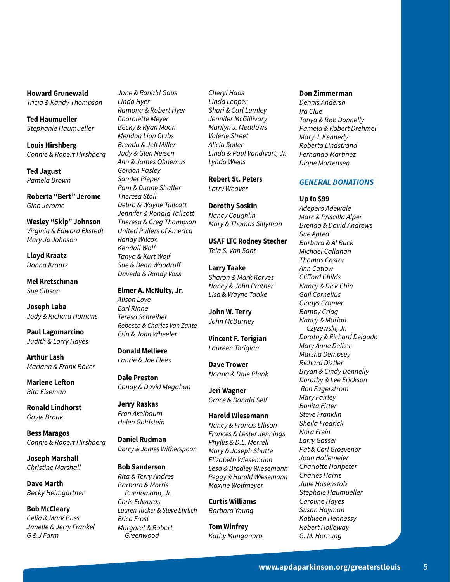#### **Howard Grunewald**

*Tricia & Randy Thompson*

**Ted Haumueller** *Stephanie Haumueller*

**Louis Hirshberg** *Connie & Robert Hirshberg*

**Ted Jagust** *Pamela Brown*

**Roberta "Bert" Jerome** *Gina Jerome*

**Wesley "Skip" Johnson** *Virginia & Edward Ekstedt Mary Jo Johnson*

**Lloyd Kraatz** *Donna Kraatz*

**Mel Kretschman** *Sue Gibson*

**Joseph Laba** *Jody & Richard Homans*

**Paul Lagomarcino** *Judith & Larry Hayes*

**Arthur Lash** *Mariann & Frank Baker*

**Marlene Lefton** *Rita Eiseman*

**Ronald Lindhorst** *Gayle Brouk*

**Bess Maragos** *Connie & Robert Hirshberg*

**Joseph Marshall** *Christine Marshall*

**Dave Marth** *Becky Heimgartner*

**Bob McCleary** *Celia & Mark Buss Janelle & Jerry Frankel G & J Farm*

*Jane & Ronald Gaus Linda Hyer Ramona & Robert Hyer Charolette Meyer Becky & Ryan Moon Mendon Lion Clubs Brenda & Jeff Miller Judy & Glen Neisen Ann & James Ohnemus Gordon Pasley Sander Pieper Pam & Duane Shaffer Theresa Stoll Debra & Wayne Tallcott Jennifer & Ronald Tallcott Theresa & Greg Thompson United Pullers of America Randy Wilcox Kendall Wolf Tanya & Kurt Wolf Sue & Dean Woodruff Daveda & Randy Voss*

**Elmer A. McNulty, Jr.** *Alison Love Earl Rinne Teresa Schreiber Rebecca & Charles Van Zante Erin & John Wheeler*

**Donald Melliere** *Laurie & Joe Flees*

**Dale Preston** *Candy & David Megahan*

**Jerry Raskas** *Fran Axelbaum Helen Goldstein*

**Daniel Rudman** *Darcy & James Witherspoon*

#### **Bob Sanderson**

*Rita & Terry Andres Barbara & Morris Buenemann, Jr. Chris Edwards Lauren Tucker & Steve Ehrlich Erica Frost Margaret & Robert Greenwood*

*Cheryl Haas Linda Lepper Shari & Carl Lumley Jennifer McGillivary Marilyn J. Meadows Valerie Street Alicia Soller Linda & Paul Vandivort, Jr. Lynda Wiens*

**Robert St. Peters** *Larry Weaver*

**Dorothy Soskin** *Nancy Coughlin Mary & Thomas Sillyman*

**USAF LTC Rodney Stecher** *Tela S. Van Sant*

**Larry Taake** *Sharon & Mark Korves Nancy & John Prather*

*Lisa & Wayne Taake*

**John W. Terry** *John McBurney*

**Vincent F. Torigian** *Laureen Torigian*

**Dave Trower** *Norma & Dale Plank*

**Jeri Wagner** *Grace & Donald Self*

#### **Harold Wiesemann**

*Nancy & Francis Ellison Frances & Lester Jennings Phyllis & D.L. Merrell Mary & Joseph Shutte Elizabeth Wiesemann Lesa & Bradley Wiesemann Peggy & Harold Wiesemann Maxine Wolfmeyer*

**Curtis Williams** *Barbara Young*

**Tom Winfrey** *Kathy Manganaro*

#### **Don Zimmerman**

*Dennis Andersh Ira Clue Tonya & Bob Donnelly Pamela & Robert Drehmel Mary J. Kennedy Roberta Lindstrand Fernando Martinez Diane Mortensen*

#### *GENERAL DONATIONS*

*Marc & Priscilla Alper*

**Up to \$99** *Adepero Adewale*

*Brenda & David Andrews Sue Apted Barbara & Al Buck Michael Callahan Thomas Castor Ann Catlow Clifford Childs Nancy & Dick Chin Gail Cornelius Gladys Cramer Bamby Criag Nancy & Marian Czyzewski, Jr. Dorothy & Richard Delgado Mary Anne Delker Marsha Dempsey Richard Distler Bryan & Cindy Donnelly Dorothy & Lee Erickson Ron Fagerstrom Mary Fairley Bonita Fitter Steve Franklin Sheila Fredrick Nora Frein Larry Gassei Pat & Carl Grosvenor Joan Hallemeier Charlotte Hanpeter Charles Harris Julie Hasenstab Stephaie Haumueller Caroline Hayes Susan Hayman Kathleen Hennessy Robert Holloway G. M. Hornung*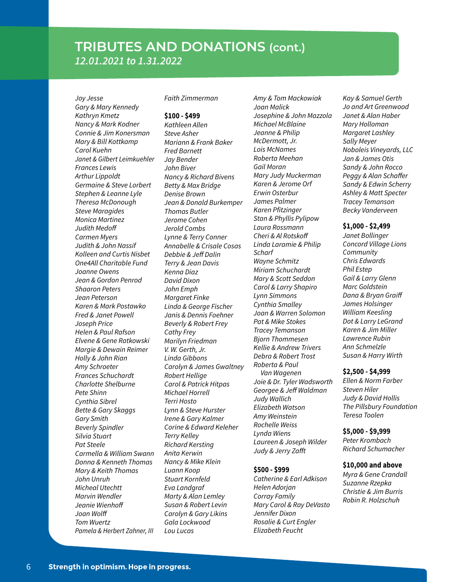# **TRIBUTES AND DONATIONS (cont.)** *12.01.2021 to 1.31.2022*

*Joy Jesse Gary & Mary Kennedy Kathryn Kmetz Nancy & Mark Kodner Connie & Jim Konersman Mary & Bill Kottkamp Carol Kuehn Janet & Gilbert Leimkuehler Frances Lewis Arthur Lippoldt Germaine & Steve Lorbert Stephen & Leanne Lyle Theresa McDonough Steve Maragides Monica Martinez Judith Medoff Carmen Myers Judith & John Nassif Kolleen and Curtis Nisbet One4All Charitable Fund Joanne Owens Jean & Gordon Penrod Shaaron Peters Jean Peterson Karen & Mark Postawko Fred & Janet Powell Joseph Price Helen & Paul Rafson Elvene & Gene Ratkowski Margie & Dewain Reimer Holly & John Rian Amy Schroeter Frances Schuchardt Charlotte Shelburne Pete Shinn Cynthia Sibrel Bette & Gary Skaggs Gary Smith Beverly Spindler Silvia Stuart Pat Steele Carmella & William Swann Donna & Kenneth Thomas Mary & Keith Thomas John Unruh Micheal Utechtt Marvin Wendler Jeanie Wienhoff Joan Wolff Tom Wuertz Pamela & Herbert Zahner, III*

*Faith Zimmerman*

#### **\$100 - \$499**

*Kathleen Allen Steve Asher Mariann & Frank Baker Fred Barnett Jay Bender John Biver Nancy & Richard Bivens Betty & Max Bridge Denise Brown Jean & Donald Burkemper Thomas Butler Jerome Cohen Jerold Combs Lynne & Terry Conner Annabelle & Crisale Cosas Debbie & Jeff Dalin Terry & Jean Davis Kenna Diaz David Dixon John Emph Margaret Finke Linda & George Fischer Janis & Dennis Foehner Beverly & Robert Frey Cathy Frey Marilyn Friedman V. W. Gerth, Jr. Linda Gibbons Carolyn & James Gwaltney Robert Hellige Carol & Patrick Hitpas Michael Horrell Terri Hosto Lynn & Steve Hurster Irene & Gary Kalmer Corine & Edward Keleher Terry Kelley Richard Kersting Anita Kerwin Nancy & Mike Klein Luann Koop Stuart Kornfeld Eva Landgraf Marty & Alan Lemley Susan & Robert Levin Carolyn & Gary Likins Gala Lockwood Lou Lucas*

*Amy & Tom Mackowiak Joan Malick Josephine & John Mazzola Michael McBlaine Jeanne & Philip McDermott, Jr. Lois McNames Roberta Meehan Gail Moran Mary Judy Muckerman Karen & Jerome Orf Erwin Osterbur James Palmer Karen Pfitzinger Stan & Phyllis Pylipow Laura Rossmann Cheri & Al Rotskoff Linda Laramie & Philip Scharf Wayne Schmitz Miriam Schuchardt Mary & Scott Seddon Carol & Larry Shapiro Lynn Simmons Cynthia Smalley Joan & Warren Solomon Pat & Mike Stokes Tracey Temanson Bjorn Thommesen Kellie & Andrew Trivers Debra & Robert Trost Roberta & Paul Van Wagenen Joie & Dr. Tyler Wadsworth Georgee & Jeff Waldman Judy Wallich Elizabeth Watson Amy Weinstein Rochelle Weiss Lynda Wiens Laureen & Joseph Wilder Judy & Jerry Zafft*

#### **\$500 - \$999**

*Catherine & Earl Adkison Helen Adorjan Corray Family Mary Carol & Ray DeVasto Jennifer Dixon Rosalie & Curt Engler Elizabeth Feucht*

*Kay & Samuel Gerth Jo and Art Greenwood Janet & Alan Haber Mary Holloman Margaret Lashley Sally Meyer Noboleis Vineyards, LLC Jan & James Otis Sandy & John Rocco Peggy & Alan Schaffer Sandy & Edwin Scherry Ashley & Matt Specter Tracey Temanson Becky Vanderveen*

#### **\$1,000 - \$2,499**

*Janet Bollinger Concord Village Lions Community Chris Edwards Phil Estep Gail & Larry Glenn Marc Goldstein Dana & Bryan Graiff James Holsinger William Keesling Dot & Larry LeGrand Karen & Jim Miller Lawrence Rubin Ann Schmelzle Susan & Harry Wirth*

#### **\$2,500 - \$4,999**

*Ellen & Norm Farber Steven Hiler Judy & David Hollis The Pillsbury Foundation Teresa Toolen*

#### **\$5,000 - \$9,999**

*Peter Krombach Richard Schumacher*

#### **\$10,000 and above**

*Myra & Gene Crandall Suzanne Rzepka Christie & Jim Burris Robin R. Holzschuh*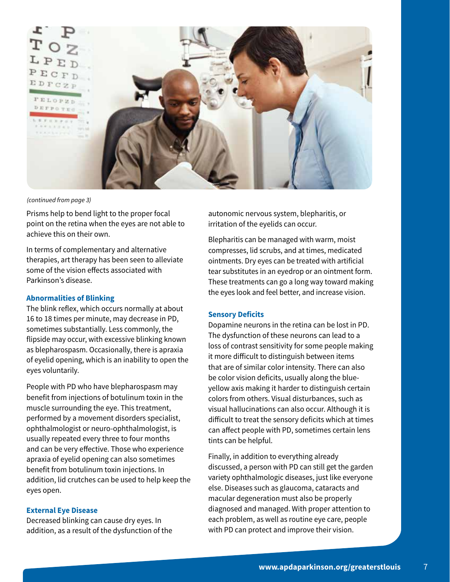

*(continued from page 3)*

Prisms help to bend light to the proper focal point on the retina when the eyes are not able to achieve this on their own.

In terms of complementary and alternative therapies, art therapy has been seen to alleviate some of the vision effects associated with Parkinson's disease.

# **Abnormalities of Blinking**

The blink reflex, which occurs normally at about 16 to 18 times per minute, may decrease in PD, sometimes substantially. Less commonly, the flipside may occur, with excessive blinking known as blepharospasm. Occasionally, there is apraxia of eyelid opening, which is an inability to open the eyes voluntarily.

People with PD who have blepharospasm may benefit from injections of botulinum toxin in the muscle surrounding the eye. This treatment, performed by a movement disorders specialist, ophthalmologist or neuro-ophthalmologist, is usually repeated every three to four months and can be very effective. Those who experience apraxia of eyelid opening can also sometimes benefit from botulinum toxin injections. In addition, lid crutches can be used to help keep the eyes open.

# **External Eye Disease**

Decreased blinking can cause dry eyes. In addition, as a result of the dysfunction of the autonomic nervous system, blepharitis, or irritation of the eyelids can occur.

Blepharitis can be managed with warm, moist compresses, lid scrubs, and at times, medicated ointments. Dry eyes can be treated with artificial tear substitutes in an eyedrop or an ointment form. These treatments can go a long way toward making the eyes look and feel better, and increase vision.

# **Sensory Deficits**

Dopamine neurons in the retina can be lost in PD. The dysfunction of these neurons can lead to a loss of contrast sensitivity for some people making it more difficult to distinguish between items that are of similar color intensity. There can also be color vision deficits, usually along the blueyellow axis making it harder to distinguish certain colors from others. Visual disturbances, such as visual hallucinations can also occur. Although it is difficult to treat the sensory deficits which at times can affect people with PD, sometimes certain lens tints can be helpful.

Finally, in addition to everything already discussed, a person with PD can still get the garden variety ophthalmologic diseases, just like everyone else. Diseases such as glaucoma, cataracts and macular degeneration must also be properly diagnosed and managed. With proper attention to each problem, as well as routine eye care, people with PD can protect and improve their vision.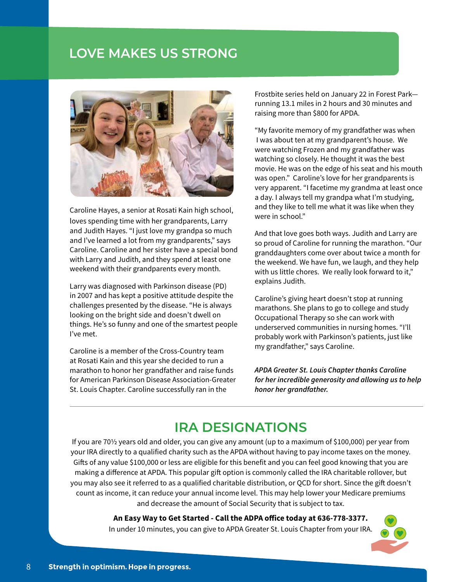# **LEADERSHIP LOVE MAKES US STRONG**



Caroline Hayes, a senior at Rosati Kain high school, loves spending time with her grandparents, Larry and Judith Hayes. "I just love my grandpa so much and I've learned a lot from my grandparents," says Caroline. Caroline and her sister have a special bond with Larry and Judith, and they spend at least one weekend with their grandparents every month.

Larry was diagnosed with Parkinson disease (PD) in 2007 and has kept a positive attitude despite the challenges presented by the disease. "He is always looking on the bright side and doesn't dwell on things. He's so funny and one of the smartest people I've met.

Caroline is a member of the Cross-Country team at Rosati Kain and this year she decided to run a marathon to honor her grandfather and raise funds for American Parkinson Disease Association-Greater St. Louis Chapter. Caroline successfully ran in the

Frostbite series held on January 22 in Forest Park running 13.1 miles in 2 hours and 30 minutes and raising more than \$800 for APDA.

"My favorite memory of my grandfather was when I was about ten at my grandparent's house. We were watching Frozen and my grandfather was watching so closely. He thought it was the best movie. He was on the edge of his seat and his mouth was open." Caroline's love for her grandparents is very apparent. "I facetime my grandma at least once a day. I always tell my grandpa what I'm studying, and they like to tell me what it was like when they were in school."

And that love goes both ways. Judith and Larry are so proud of Caroline for running the marathon. "Our granddaughters come over about twice a month for the weekend. We have fun, we laugh, and they help with us little chores. We really look forward to it," explains Judith.

Caroline's giving heart doesn't stop at running marathons. She plans to go to college and study Occupational Therapy so she can work with underserved communities in nursing homes. "I'll probably work with Parkinson's patients, just like my grandfather," says Caroline.

*APDA Greater St. Louis Chapter thanks Caroline for her incredible generosity and allowing us to help honor her grandfather.* 

# **IRA DESIGNATIONS**

If you are 70½ years old and older, you can give any amount (up to a maximum of \$100,000) per year from your IRA directly to a qualified charity such as the APDA without having to pay income taxes on the money. Gifts of any value \$100,000 or less are eligible for this benefit and you can feel good knowing that you are making a difference at APDA. This popular gift option is commonly called the IRA charitable rollover, but you may also see it referred to as a qualified charitable distribution, or QCD for short. Since the gift doesn't count as income, it can reduce your annual income level. This may help lower your Medicare premiums and decrease the amount of Social Security that is subject to tax.

## **An Easy Way to Get Started - Call the ADPA office today at 636-778-3377.**

In under 10 minutes, you can give to APDA Greater St. Louis Chapter from your IRA.

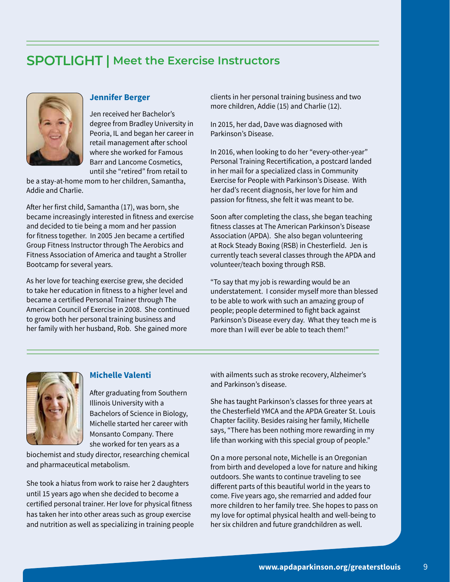# **SPOTLIGHT | Meet the Exercise Instructors**



# **Jennifer Berger**

Jen received her Bachelor's degree from Bradley University in Peoria, IL and began her career in retail management after school where she worked for Famous Barr and Lancome Cosmetics, until she "retired" from retail to

be a stay-at-home mom to her children, Samantha, Addie and Charlie.

After her first child, Samantha (17), was born, she became increasingly interested in fitness and exercise and decided to tie being a mom and her passion for fitness together. In 2005 Jen became a certified Group Fitness Instructor through The Aerobics and Fitness Association of America and taught a Stroller Bootcamp for several years.

As her love for teaching exercise grew, she decided to take her education in fitness to a higher level and became a certified Personal Trainer through The American Council of Exercise in 2008. She continued to grow both her personal training business and her family with her husband, Rob. She gained more

clients in her personal training business and two more children, Addie (15) and Charlie (12).

In 2015, her dad, Dave was diagnosed with Parkinson's Disease.

In 2016, when looking to do her "every-other-year" Personal Training Recertification, a postcard landed in her mail for a specialized class in Community Exercise for People with Parkinson's Disease. With her dad's recent diagnosis, her love for him and passion for fitness, she felt it was meant to be.

Soon after completing the class, she began teaching fitness classes at The American Parkinson's Disease Association (APDA). She also began volunteering at Rock Steady Boxing (RSB) in Chesterfield. Jen is currently teach several classes through the APDA and volunteer/teach boxing through RSB.

"To say that my job is rewarding would be an understatement. I consider myself more than blessed to be able to work with such an amazing group of people; people determined to fight back against Parkinson's Disease every day. What they teach me is more than I will ever be able to teach them!"



# **Michelle Valenti**

After graduating from Southern Illinois University with a Bachelors of Science in Biology, Michelle started her career with Monsanto Company. There she worked for ten years as a

biochemist and study director, researching chemical and pharmaceutical metabolism.

She took a hiatus from work to raise her 2 daughters until 15 years ago when she decided to become a certified personal trainer. Her love for physical fitness has taken her into other areas such as group exercise and nutrition as well as specializing in training people with ailments such as stroke recovery, Alzheimer's and Parkinson's disease.

She has taught Parkinson's classes for three years at the Chesterfield YMCA and the APDA Greater St. Louis Chapter facility. Besides raising her family, Michelle says, "There has been nothing more rewarding in my life than working with this special group of people."

On a more personal note, Michelle is an Oregonian from birth and developed a love for nature and hiking outdoors. She wants to continue traveling to see different parts of this beautiful world in the years to come. Five years ago, she remarried and added four more children to her family tree. She hopes to pass on my love for optimal physical health and well-being to her six children and future grandchildren as well.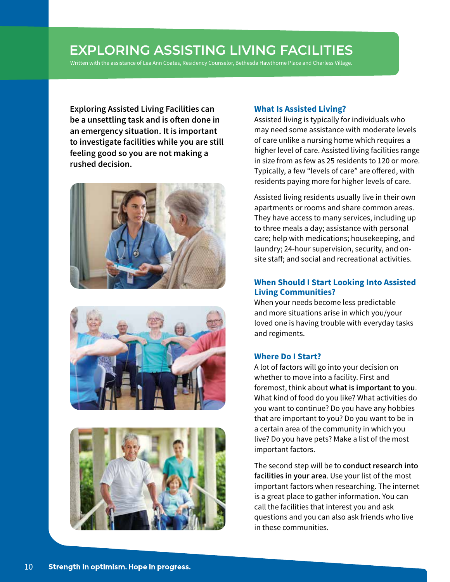# **EXPLORING ASSISTING LIVING FACILITIES**

Written with the assistance of Lea Ann Coates, Residency Counselor, Bethesda Hawthorne Place and Charless Village.

**Exploring Assisted Living Facilities can be a unsettling task and is often done in an emergency situation. It is important to investigate facilities while you are still feeling good so you are not making a rushed decision.**







# **What Is Assisted Living?**

Assisted living is typically for individuals who may need some assistance with moderate levels of care unlike a nursing home which requires a higher level of care. Assisted living facilities range in size from as few as 25 residents to 120 or more. Typically, a few "levels of care" are offered, with residents paying more for higher levels of care.

Assisted living residents usually live in their own apartments or rooms and share common areas. They have access to many services, including up to three meals a day; assistance with personal care; help with medications; housekeeping, and laundry; 24-hour supervision, security, and onsite staff; and social and recreational activities.

# **When Should I Start Looking Into Assisted Living Communities?**

When your needs become less predictable and more situations arise in which you/your loved one is having trouble with everyday tasks and regiments.

# **Where Do I Start?**

A lot of factors will go into your decision on whether to move into a facility. First and foremost, think about **what is important to you**. What kind of food do you like? What activities do you want to continue? Do you have any hobbies that are important to you? Do you want to be in a certain area of the community in which you live? Do you have pets? Make a list of the most important factors.

The second step will be to **conduct research into facilities in your area**. Use your list of the most important factors when researching. The internet is a great place to gather information. You can call the facilities that interest you and ask questions and you can also ask friends who live in these communities.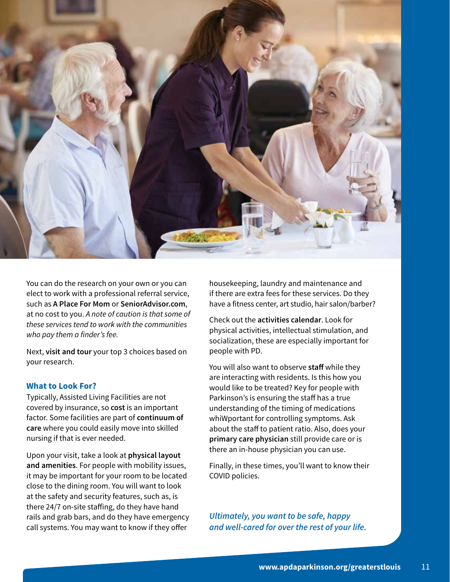

You can do the research on your own or you can elect to work with a professional referral service, such as **A Place For Mom** or **SeniorAdvisor.com**, at no cost to you. *A note of caution is that some of these services tend to work with the communities who pay them a finder's fee.*

Next, **visit and tour** your top 3 choices based on your research.

# **What to Look For?**

Typically, Assisted Living Facilities are not covered by insurance, so **cost** is an important factor. Some facilities are part of **continuum of care** where you could easily move into skilled nursing if that is ever needed.

Upon your visit, take a look at **physical layout and amenities**. For people with mobility issues, it may be important for your room to be located close to the dining room. You will want to look at the safety and security features, such as, is there 24/7 on-site staffing, do they have hand rails and grab bars, and do they have emergency call systems. You may want to know if they offer

housekeeping, laundry and maintenance and if there are extra fees for these services. Do they have a fitness center, art studio, hair salon/barber?

Check out the **activities calendar**. Look for physical activities, intellectual stimulation, and socialization, these are especially important for people with PD.

You will also want to observe **staff** while they are interacting with residents. Is this how you would like to be treated? Key for people with Parkinson's is ensuring the staff has a true understanding of the timing of medications whiWportant for controlling symptoms. Ask about the staff to patient ratio. Also, does your **primary care physician** still provide care or is there an in-house physician you can use.

Finally, in these times, you'll want to know their COVID policies.

*Ultimately, you want to be safe, happy and well-cared for over the rest of your life.*